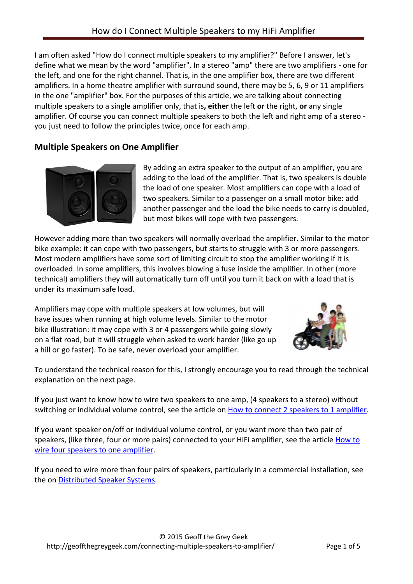I am often asked "How do I connect multiple speakers to my amplifier?" Before I answer, let's define what we mean by the word "amplifier". In a stereo "amp" there are two amplifiers - one for the left, and one for the right channel. That is, in the one amplifier box, there are two different amplifiers. In a home theatre amplifier with surround sound, there may be 5, 6, 9 or 11 amplifiers in the one "amplifier" box. For the purposes of this article, we are talking about connecting multiple speakers to a single amplifier only, that is**, either** the left **or** the right, **or** any single amplifier. Of course you can connect multiple speakers to both the left and right amp of a stereo you just need to follow the principles twice, once for each amp.

## **Multiple Speakers on One Amplifier**



By adding an extra speaker to the output of an amplifier, you are adding to the load of the amplifier. That is, two speakers is double the load of one speaker. Most amplifiers can cope with a load of two speakers. Similar to a passenger on a small motor bike: add another passenger and the load the bike needs to carry is doubled, but most bikes will cope with two passengers.

However adding more than two speakers will normally overload the amplifier. Similar to the motor bike example: it can cope with two passengers, but starts to struggle with 3 or more passengers. Most modern amplifiers have some sort of limiting circuit to stop the amplifier working if it is overloaded. In some amplifiers, this involves blowing a fuse inside the amplifier. In other (more technical) amplifiers they will automatically turn off until you turn it back on with a load that is under its maximum safe load.

Amplifiers may cope with multiple speakers at low volumes, but will have issues when running at high volume levels. Similar to the motor bike illustration: it may cope with 3 or 4 passengers while going slowly on a flat road, but it will struggle when asked to work harder (like go up a hill or go faster). To be safe, never overload your amplifier.



To understand the technical reason for this, I strongly encourage you to read through the technical explanation on the next page.

If you just want to know how to wire two speakers to one amp, (4 speakers to a stereo) without switching or individual volume control, see the article on [How to connect 2 speakers to 1 amplifier.](http://geoffthegreygeek.com/how-to-connect-2-speakers-to-1-amplifier/)

If you want speaker on/off or individual volume control, or you want more than two pair of speakers, (like three, four or more pairs) connected to your HiFi amplifier, see the article How to [wire four speakers to one amplifier.](http://geoffthegreygeek.com/how-to-wire-four-hifi-speakers/)

If you need to wire more than four pairs of speakers, particularly in a commercial installation, see the on [Distributed Speaker Systems.](http://geoffthegreygeek.com/understanding-distributed-speaker-systems/)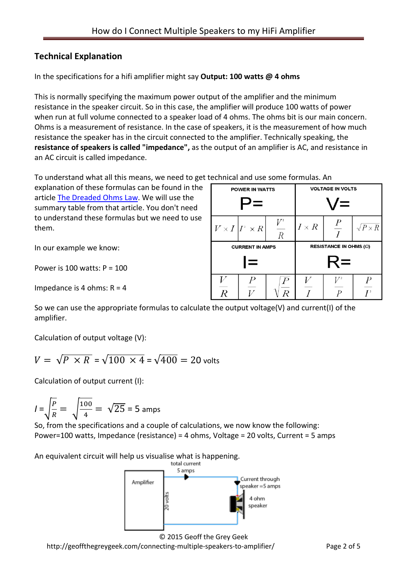## **Technical Explanation**

In the specifications for a hifi amplifier might say **Output: 100 watts @ 4 ohms**

This is normally specifying the maximum power output of the amplifier and the minimum resistance in the speaker circuit. So in this case, the amplifier will produce 100 watts of power when run at full volume connected to a speaker load of 4 ohms. The ohms bit is our main concern. Ohms is a measurement of resistance. In the case of speakers, it is the measurement of how much resistance the speaker has in the circuit connected to the amplifier. Technically speaking, the **resistance of speakers is called "impedance",** as the output of an amplifier is AC, and resistance in an AC circuit is called impedance.

To understand what all this means, we need to get technical and use some formulas. An

explanation of these formulas can be found in the article [The Dreaded Ohms Law.](http://geoffthegreygeek.com/ohms-law/) We will use the summary table from that article. You don't need to understand these formulas but we need to use them.

In our example we know:

Power is 100 watts:  $P = 100$ 

Impedance is 4 ohms:  $R = 4$ 

So we can use the appropriate formulas to calculate the output voltage(V) and current(I) of the amplifier.

Calculation of output voltage (V):

$$
V = \sqrt{P \times R} = \sqrt{100 \times 4} = \sqrt{400} = 20
$$
 volts

Calculation of output current (I):

$$
I = \sqrt{\frac{P}{R}} = \sqrt{\frac{100}{4}} = \sqrt{25} = 5
$$
amps

So, from the specifications and a couple of calculations, we now know the following: Power=100 watts, Impedance (resistance) = 4 ohms, Voltage = 20 volts, Current = 5 amps

An equivalent circuit will help us visualise what is happening.<br>total current





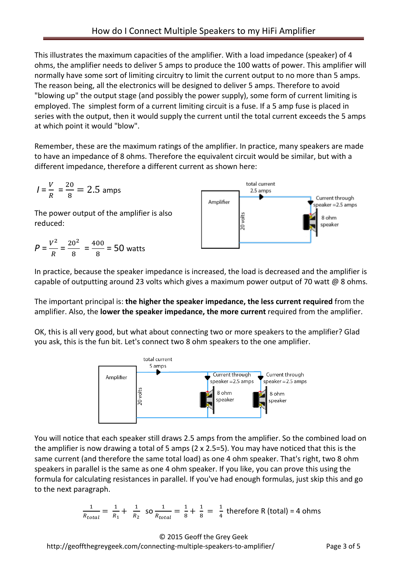This illustrates the maximum capacities of the amplifier. With a load impedance (speaker) of 4 ohms, the amplifier needs to deliver 5 amps to produce the 100 watts of power. This amplifier will normally have some sort of limiting circuitry to limit the current output to no more than 5 amps. The reason being, all the electronics will be designed to deliver 5 amps. Therefore to avoid "blowing up" the output stage (and possibly the power supply), some form of current limiting is employed. The simplest form of a current limiting circuit is a fuse. If a 5 amp fuse is placed in series with the output, then it would supply the current until the total current exceeds the 5 amps at which point it would "blow".

Remember, these are the maximum ratings of the amplifier. In practice, many speakers are made to have an impedance of 8 ohms. Therefore the equivalent circuit would be similar, but with a different impedance, therefore a different current as shown here:

$$
I = \frac{V}{R} = \frac{20}{8} = 2.5
$$
amps

The power output of the amplifier is also reduced:

$$
P = \frac{V^2}{R} = \frac{20^2}{8} = \frac{400}{8} = 50
$$
 watts



In practice, because the speaker impedance is increased, the load is decreased and the amplifier is capable of outputting around 23 volts which gives a maximum power output of 70 watt @ 8 ohms.

The important principal is: **the higher the speaker impedance, the less current required** from the amplifier. Also, the **lower the speaker impedance, the more current** required from the amplifier.

OK, this is all very good, but what about connecting two or more speakers to the amplifier? Glad you ask, this is the fun bit. Let's connect two 8 ohm speakers to the one amplifier.



You will notice that each speaker still draws 2.5 amps from the amplifier. So the combined load on the amplifier is now drawing a total of 5 amps (2 x 2.5=5). You may have noticed that this is the same current (and therefore the same total load) as one 4 ohm speaker. That's right, two 8 ohm speakers in parallel is the same as one 4 ohm speaker. If you like, you can prove this using the formula for calculating resistances in parallel. If you've had enough formulas, just skip this and go to the next paragraph.

> 1  $\frac{1}{R_{total}} = \frac{1}{R_1} + \frac{1}{R_2}$  so  $\frac{1}{R_{tot}}$  $\frac{1}{R_{total}} = \frac{1}{8} + \frac{1}{8} = \frac{1}{4}$  therefore R (total) = 4 ohms

© 2015 Geoff the Grey Geek http://geoffthegreygeek.com/connecting-multiple-speakers-to-amplifier/ Page 3 of 5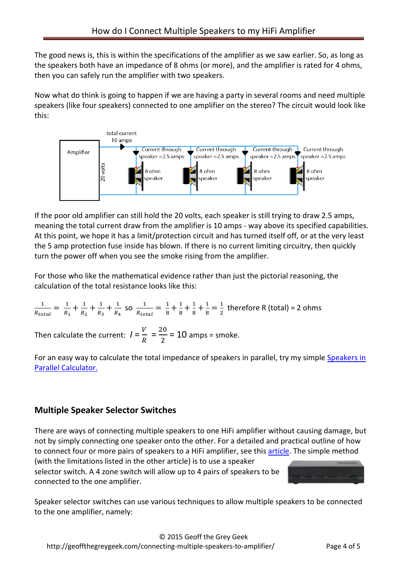The good news is, this is within the specifications of the amplifier as we saw earlier. So, as long as the speakers both have an impedance of 8 ohms (or more), and the amplifier is rated for 4 ohms, then you can safely run the amplifier with two speakers.

Now what do think is going to happen if we are having a party in several rooms and need multiple speakers (like four speakers) connected to one amplifier on the stereo? The circuit would look like this:



If the poor old amplifier can still hold the 20 volts, each speaker is still trying to draw 2.5 amps, meaning the total current draw from the amplifier is 10 amps - way above its specified capabilities. At this point, we hope it has a limit/protection circuit and has turned itself off, or at the very least the 5 amp protection fuse inside has blown. If there is no current limiting circuitry, then quickly turn the power off when you see the smoke rising from the amplifier.

For those who like the mathematical evidence rather than just the pictorial reasoning, the calculation of the total resistance looks like this:

1  $\frac{1}{R_{total}} = \frac{1}{R_1} + \frac{1}{R_2} + \frac{1}{R_3} + \frac{1}{R_4}$  so  $\frac{1}{R_{tot}}$  $\frac{1}{R_{total}} = \frac{1}{8} + \frac{1}{8} + \frac{1}{8} + \frac{1}{8} = \frac{1}{2}$  therefore R (total) = 2 ohms

Then calculate the current:  $I = \frac{V}{R}$  $\boldsymbol{\kappa}$  $\frac{20}{2}$  = 10 amps = smoke.

For an easy way to calculate the total impedance of speakers in parallel, try my simpl[e Speakers in](http://geoffthegreygeek.com/calculator-speakers-in-parallel/)  [Parallel Calculator.](http://geoffthegreygeek.com/calculator-speakers-in-parallel/)

## **Multiple Speaker Selector Switches**

There are ways of connecting multiple speakers to one HiFi amplifier without causing damage, but not by simply connecting one speaker onto the other. For a detailed and practical outline of how to connect four or more pairs of speakers to a HiFi amplifier, see thi[s article.](http://geoffthegreygeek.com/how-to-wire-four-hifi-speakers/) The simple method

(with the limitations listed in the other article) is to use a speaker selector switch. A 4 zone switch will allow up to 4 pairs of speakers to be connected to the one amplifier.



Speaker selector switches can use various techniques to allow multiple speakers to be connected to the one amplifier, namely:

© 2015 Geoff the Grey Geek http://geoffthegreygeek.com/connecting-multiple-speakers-to-amplifier/ Page 4 of 5